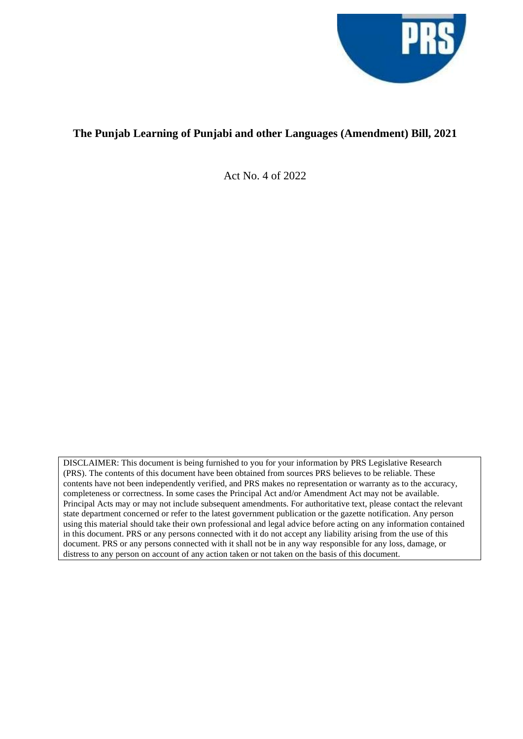

# **The Punjab Learning of Punjabi and other Languages (Amendment) Bill, 2021**

Act No. 4 of 2022

DISCLAIMER: This document is being furnished to you for your information by PRS Legislative Research (PRS). The contents of this document have been obtained from sources PRS believes to be reliable. These contents have not been independently verified, and PRS makes no representation or warranty as to the accuracy, completeness or correctness. In some cases the Principal Act and/or Amendment Act may not be available. Principal Acts may or may not include subsequent amendments. For authoritative text, please contact the relevant state department concerned or refer to the latest government publication or the gazette notification. Any person using this material should take their own professional and legal advice before acting on any information contained in this document. PRS or any persons connected with it do not accept any liability arising from the use of this document. PRS or any persons connected with it shall not be in any way responsible for any loss, damage, or distress to any person on account of any action taken or not taken on the basis of this document.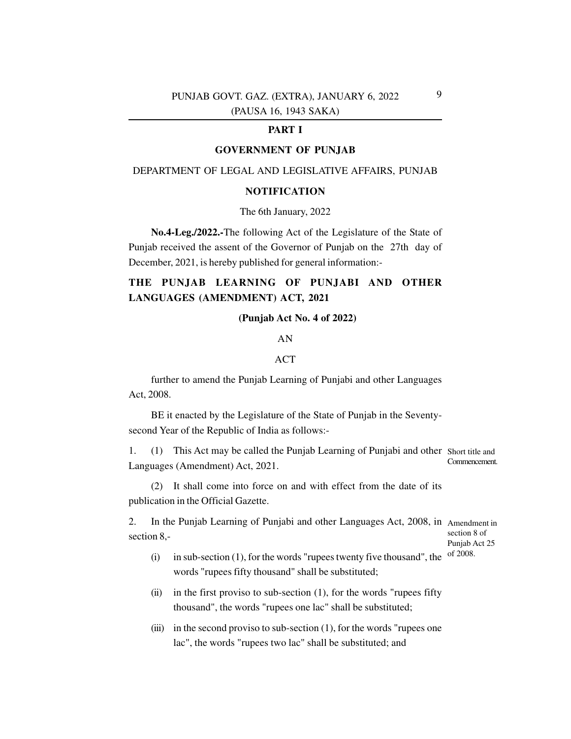## PUNJAB GOVT. GAZ. (EXTRA), JANUARY 6, 2022 (PAUSA 16, 1943 SAKA)

## **PART I**

#### **GOVERNMENT OF PUNJAB**

### DEPARTMENT OF LEGAL AND LEGISLATIVE AFFAIRS, PUNJAB

### **NOTIFICATION**

#### The 6th January, 2022

**No.4-Leg./2022.-**The following Act of the Legislature of the State of Punjab received the assent of the Governor of Punjab on the 27th day of December, 2021, is hereby published for general information:-

## **THE PUNJAB LEARNING OF PUNJABI AND OTHER LANGUAGES (AMENDMENT) ACT, 2021**

## **(Punjab Act No. 4 of 2022)**

### AN

#### ACT

Act, 2008. further to amend the Punjab Learning of Punjabi and other Languages

BE it enacted by the Legislature of the State of Punjab in the Seventysecond Year of the Republic of India as follows:-

1. (1) This Act may be called the Punjab Learning of Punjabi and other Short title and Languages (Amendment) Act, 2021. Commencement.

(2) It shall come into force on and with effect from the date of its publication in the Official Gazette.

2. In the Punjab Learning of Punjabi and other Languages Act, 2008, in Amendment in section 8, section 8 of

Punjab Act 25 of 2008.

- $(i)$  in sub-section  $(1)$ , for the words "rupees twenty five thousand", the words "rupees fifty thousand" shall be substituted;
- (ii) in the first proviso to sub-section  $(1)$ , for the words "rupees fifty thousand", the words "rupees one lac" shall be substituted;
- (iii) in the second proviso to sub-section  $(1)$ , for the words "rupees one lac", the words "rupees two lac" shall be substituted; and